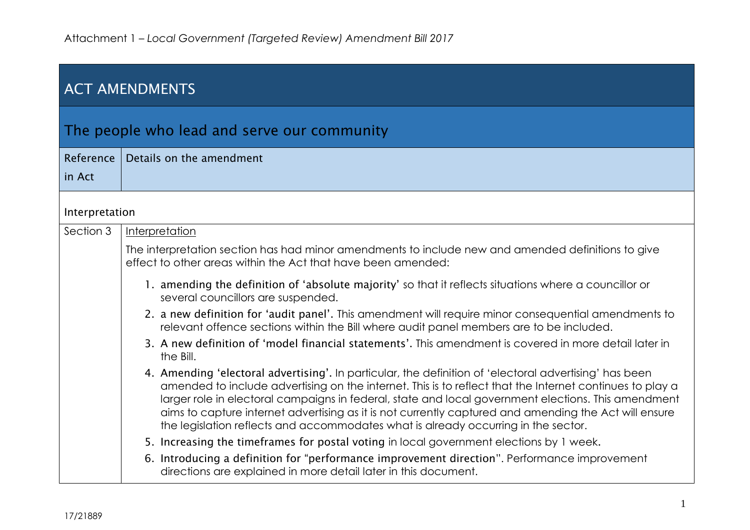| <b>ACT AMENDMENTS</b> |                                                                                                                                                                                                                                                                                                                                                                                                                                                                                                                          |  |
|-----------------------|--------------------------------------------------------------------------------------------------------------------------------------------------------------------------------------------------------------------------------------------------------------------------------------------------------------------------------------------------------------------------------------------------------------------------------------------------------------------------------------------------------------------------|--|
|                       | The people who lead and serve our community                                                                                                                                                                                                                                                                                                                                                                                                                                                                              |  |
| Reference             | Details on the amendment                                                                                                                                                                                                                                                                                                                                                                                                                                                                                                 |  |
| in Act                |                                                                                                                                                                                                                                                                                                                                                                                                                                                                                                                          |  |
| Interpretation        |                                                                                                                                                                                                                                                                                                                                                                                                                                                                                                                          |  |
| Section 3             | Interpretation                                                                                                                                                                                                                                                                                                                                                                                                                                                                                                           |  |
|                       | The interpretation section has had minor amendments to include new and amended definitions to give<br>effect to other areas within the Act that have been amended:                                                                                                                                                                                                                                                                                                                                                       |  |
|                       | 1. amending the definition of 'absolute majority' so that it reflects situations where a councillor or<br>several councillors are suspended.                                                                                                                                                                                                                                                                                                                                                                             |  |
|                       | 2. a new definition for 'audit panel'. This amendment will require minor consequential amendments to<br>relevant offence sections within the Bill where audit panel members are to be included.                                                                                                                                                                                                                                                                                                                          |  |
|                       | 3. A new definition of 'model financial statements'. This amendment is covered in more detail later in<br>the Bill.                                                                                                                                                                                                                                                                                                                                                                                                      |  |
|                       | 4. Amending 'electoral advertising'. In particular, the definition of 'electoral advertising' has been<br>amended to include advertising on the internet. This is to reflect that the Internet continues to play a<br>larger role in electoral campaigns in federal, state and local government elections. This amendment<br>aims to capture internet advertising as it is not currently captured and amending the Act will ensure<br>the legislation reflects and accommodates what is already occurring in the sector. |  |
|                       | 5. Increasing the timeframes for postal voting in local government elections by 1 week.                                                                                                                                                                                                                                                                                                                                                                                                                                  |  |
|                       | 6. Introducing a definition for "performance improvement direction". Performance improvement<br>directions are explained in more detail later in this document.                                                                                                                                                                                                                                                                                                                                                          |  |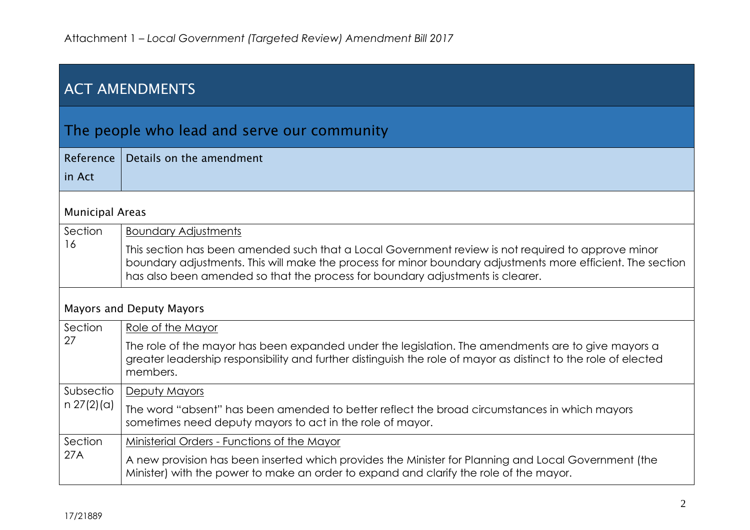| <b>ACT AMENDMENTS</b>           |                                                                                                                                                                                                                                                                                                     |  |
|---------------------------------|-----------------------------------------------------------------------------------------------------------------------------------------------------------------------------------------------------------------------------------------------------------------------------------------------------|--|
|                                 | The people who lead and serve our community                                                                                                                                                                                                                                                         |  |
| Reference<br>in Act             | Details on the amendment                                                                                                                                                                                                                                                                            |  |
| <b>Municipal Areas</b>          |                                                                                                                                                                                                                                                                                                     |  |
| Section                         | <b>Boundary Adjustments</b>                                                                                                                                                                                                                                                                         |  |
| 16                              | This section has been amended such that a Local Government review is not required to approve minor<br>boundary adjustments. This will make the process for minor boundary adjustments more efficient. The section<br>has also been amended so that the process for boundary adjustments is clearer. |  |
| <b>Mayors and Deputy Mayors</b> |                                                                                                                                                                                                                                                                                                     |  |
| Section                         | Role of the Mayor                                                                                                                                                                                                                                                                                   |  |
| 27                              | The role of the mayor has been expanded under the legislation. The amendments are to give mayors a<br>greater leadership responsibility and further distinguish the role of mayor as distinct to the role of elected<br>members.                                                                    |  |
| Subsectio                       | Deputy Mayors                                                                                                                                                                                                                                                                                       |  |
| $n \frac{27(2)}{a}$             | The word "absent" has been amended to better reflect the broad circumstances in which mayors<br>sometimes need deputy mayors to act in the role of mayor.                                                                                                                                           |  |
| Section                         | Ministerial Orders - Functions of the Mayor                                                                                                                                                                                                                                                         |  |
| 27A                             | A new provision has been inserted which provides the Minister for Planning and Local Government (the<br>Minister) with the power to make an order to expand and clarify the role of the mayor.                                                                                                      |  |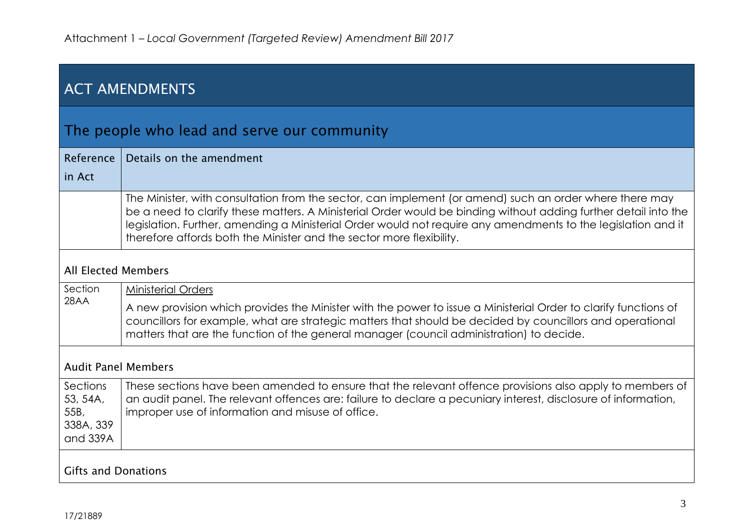| <b>ACT AMENDMENTS</b>                                 |                                                                                                                                                                                                                                                                                                                                                                                                                     |  |  |
|-------------------------------------------------------|---------------------------------------------------------------------------------------------------------------------------------------------------------------------------------------------------------------------------------------------------------------------------------------------------------------------------------------------------------------------------------------------------------------------|--|--|
|                                                       | The people who lead and serve our community                                                                                                                                                                                                                                                                                                                                                                         |  |  |
| Reference<br>in Act                                   | Details on the amendment                                                                                                                                                                                                                                                                                                                                                                                            |  |  |
|                                                       | The Minister, with consultation from the sector, can implement (or amend) such an order where there may<br>be a need to clarify these matters. A Ministerial Order would be binding without adding further detail into the<br>legislation. Further, amending a Ministerial Order would not require any amendments to the legislation and it<br>therefore affords both the Minister and the sector more flexibility. |  |  |
| <b>All Elected Members</b>                            |                                                                                                                                                                                                                                                                                                                                                                                                                     |  |  |
| Section<br>28AA                                       | <b>Ministerial Orders</b><br>A new provision which provides the Minister with the power to issue a Ministerial Order to clarify functions of<br>councillors for example, what are strategic matters that should be decided by councillors and operational<br>matters that are the function of the general manager (council administration) to decide.                                                               |  |  |
|                                                       | <b>Audit Panel Members</b>                                                                                                                                                                                                                                                                                                                                                                                          |  |  |
| Sections<br>53, 54A,<br>55B,<br>338A, 339<br>and 339A | These sections have been amended to ensure that the relevant offence provisions also apply to members of<br>an audit panel. The relevant offences are: failure to declare a pecuniary interest, disclosure of information,<br>improper use of information and misuse of office.                                                                                                                                     |  |  |
| <b>Gifts and Donations</b>                            |                                                                                                                                                                                                                                                                                                                                                                                                                     |  |  |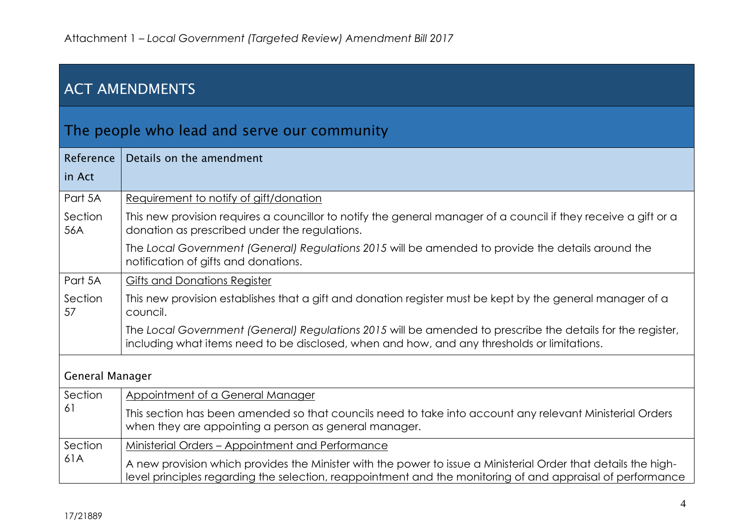| <b>ACT AMENDMENTS</b> |                                                                                                                                                                                                                              |  |
|-----------------------|------------------------------------------------------------------------------------------------------------------------------------------------------------------------------------------------------------------------------|--|
|                       | The people who lead and serve our community                                                                                                                                                                                  |  |
| Reference<br>in Act   | Details on the amendment                                                                                                                                                                                                     |  |
| Part 5A               | Requirement to notify of gift/donation                                                                                                                                                                                       |  |
| Section<br>56A        | This new provision requires a councillor to notify the general manager of a council if they receive a gift or a<br>donation as prescribed under the regulations.                                                             |  |
|                       | The Local Government (General) Regulations 2015 will be amended to provide the details around the<br>notification of gifts and donations.                                                                                    |  |
| Part 5A               | <b>Gifts and Donations Register</b>                                                                                                                                                                                          |  |
| Section<br>57         | This new provision establishes that a gift and donation register must be kept by the general manager of a<br>council.                                                                                                        |  |
|                       | The Local Government (General) Regulations 2015 will be amended to prescribe the details for the register,<br>including what items need to be disclosed, when and how, and any thresholds or limitations.                    |  |
| General Manager       |                                                                                                                                                                                                                              |  |
| Section               | Appointment of a General Manager                                                                                                                                                                                             |  |
| 61                    | This section has been amended so that councils need to take into account any relevant Ministerial Orders<br>when they are appointing a person as general manager.                                                            |  |
| Section               | Ministerial Orders - Appointment and Performance                                                                                                                                                                             |  |
| 61A                   | A new provision which provides the Minister with the power to issue a Ministerial Order that details the high-<br>level principles regarding the selection, reappointment and the monitoring of and appraisal of performance |  |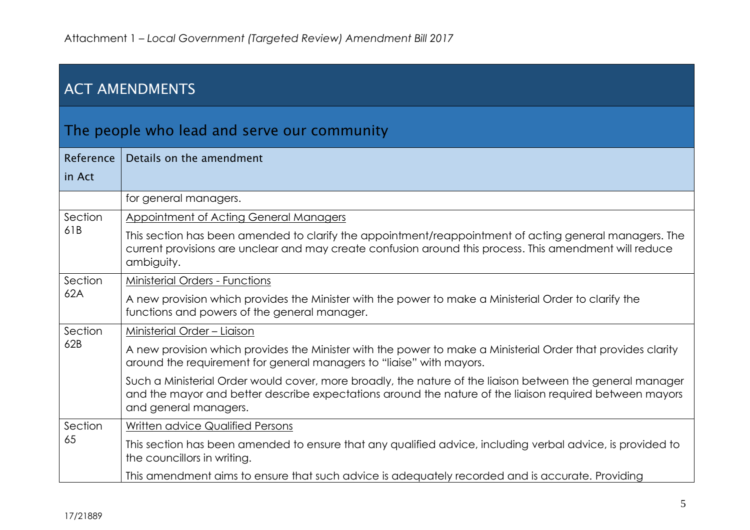| <b>ACT AMENDMENTS</b> |                                                                                                                                                                                                                                               |  |
|-----------------------|-----------------------------------------------------------------------------------------------------------------------------------------------------------------------------------------------------------------------------------------------|--|
|                       | The people who lead and serve our community                                                                                                                                                                                                   |  |
| Reference             | Details on the amendment                                                                                                                                                                                                                      |  |
| in Act                |                                                                                                                                                                                                                                               |  |
|                       | for general managers.                                                                                                                                                                                                                         |  |
| Section               | <b>Appointment of Acting General Managers</b>                                                                                                                                                                                                 |  |
| 61B                   | This section has been amended to clarify the appointment/reappointment of acting general managers. The<br>current provisions are unclear and may create confusion around this process. This amendment will reduce<br>ambiguity.               |  |
| Section               | <b>Ministerial Orders - Functions</b>                                                                                                                                                                                                         |  |
| 62A                   | A new provision which provides the Minister with the power to make a Ministerial Order to clarify the<br>functions and powers of the general manager.                                                                                         |  |
| Section               | Ministerial Order - Liaison                                                                                                                                                                                                                   |  |
| 62B                   | A new provision which provides the Minister with the power to make a Ministerial Order that provides clarity<br>around the requirement for general managers to "liaise" with mayors.                                                          |  |
|                       | Such a Ministerial Order would cover, more broadly, the nature of the liaison between the general manager<br>and the mayor and better describe expectations around the nature of the liaison required between mayors<br>and general managers. |  |
| Section               | Written advice Qualified Persons                                                                                                                                                                                                              |  |
| 65                    | This section has been amended to ensure that any qualified advice, including verbal advice, is provided to<br>the councillors in writing.                                                                                                     |  |
|                       | This amendment aims to ensure that such advice is adequately recorded and is accurate. Providing                                                                                                                                              |  |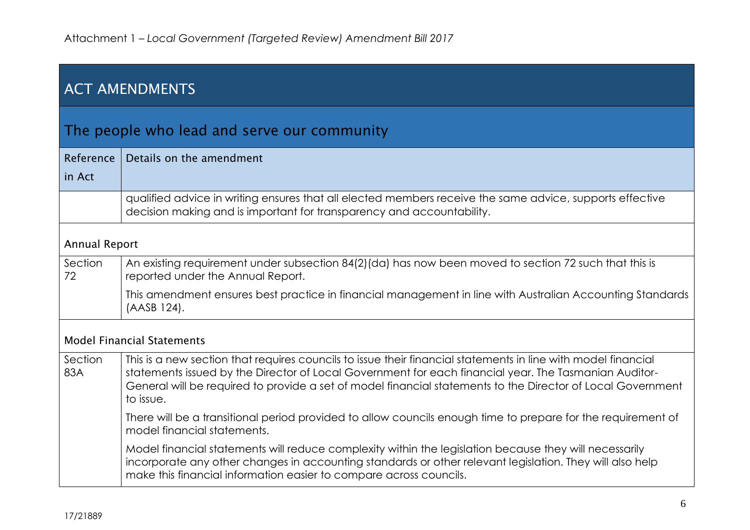| <b>ACT AMENDMENTS</b> |                                                                                                                                                                                                                                                                                                                                                    |  |  |
|-----------------------|----------------------------------------------------------------------------------------------------------------------------------------------------------------------------------------------------------------------------------------------------------------------------------------------------------------------------------------------------|--|--|
|                       | The people who lead and serve our community                                                                                                                                                                                                                                                                                                        |  |  |
| Reference<br>in Act   | Details on the amendment                                                                                                                                                                                                                                                                                                                           |  |  |
|                       | qualified advice in writing ensures that all elected members receive the same advice, supports effective<br>decision making and is important for transparency and accountability.                                                                                                                                                                  |  |  |
|                       | <b>Annual Report</b>                                                                                                                                                                                                                                                                                                                               |  |  |
| Section<br>72         | An existing requirement under subsection 84(2)(da) has now been moved to section 72 such that this is<br>reported under the Annual Report.                                                                                                                                                                                                         |  |  |
|                       | This amendment ensures best practice in financial management in line with Australian Accounting Standards<br>(AASB 124).                                                                                                                                                                                                                           |  |  |
|                       | <b>Model Financial Statements</b>                                                                                                                                                                                                                                                                                                                  |  |  |
| Section<br>83A        | This is a new section that requires councils to issue their financial statements in line with model financial<br>statements issued by the Director of Local Government for each financial year. The Tasmanian Auditor-<br>General will be required to provide a set of model financial statements to the Director of Local Government<br>to issue. |  |  |
|                       | There will be a transitional period provided to allow councils enough time to prepare for the requirement of<br>model financial statements.                                                                                                                                                                                                        |  |  |
|                       | Model financial statements will reduce complexity within the legislation because they will necessarily<br>incorporate any other changes in accounting standards or other relevant legislation. They will also help<br>make this financial information easier to compare across councils.                                                           |  |  |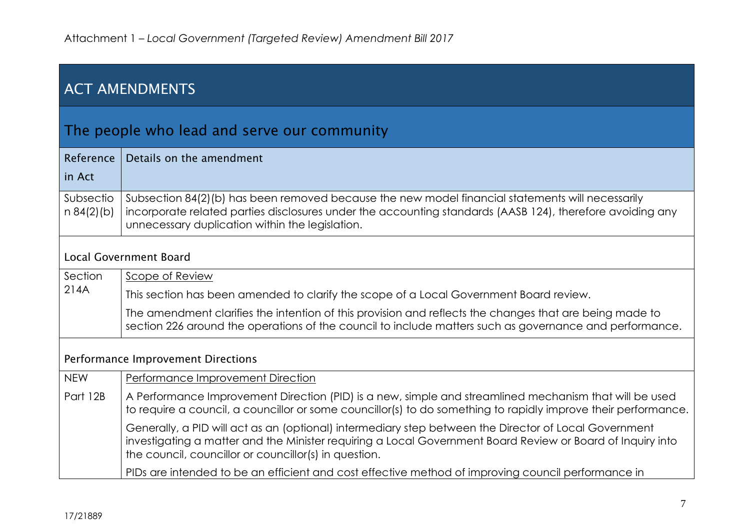| <b>ACT AMENDMENTS</b>                       |                                                                                                                                                                                                                                                                              |  |  |
|---------------------------------------------|------------------------------------------------------------------------------------------------------------------------------------------------------------------------------------------------------------------------------------------------------------------------------|--|--|
| The people who lead and serve our community |                                                                                                                                                                                                                                                                              |  |  |
| Reference<br>in Act                         | Details on the amendment                                                                                                                                                                                                                                                     |  |  |
| Subsectio<br>$n 84(2)$ (b)                  | Subsection 84(2)(b) has been removed because the new model financial statements will necessarily<br>incorporate related parties disclosures under the accounting standards (AASB 124), therefore avoiding any<br>unnecessary duplication within the legislation.             |  |  |
|                                             | <b>Local Government Board</b>                                                                                                                                                                                                                                                |  |  |
| Section                                     | Scope of Review                                                                                                                                                                                                                                                              |  |  |
| 214A                                        | This section has been amended to clarify the scope of a Local Government Board review.                                                                                                                                                                                       |  |  |
|                                             | The amendment clarifies the intention of this provision and reflects the changes that are being made to<br>section 226 around the operations of the council to include matters such as governance and performance.                                                           |  |  |
| Performance Improvement Directions          |                                                                                                                                                                                                                                                                              |  |  |
| <b>NEW</b>                                  | Performance Improvement Direction                                                                                                                                                                                                                                            |  |  |
| Part 12B                                    | A Performance Improvement Direction (PID) is a new, simple and streamlined mechanism that will be used<br>to require a council, a councillor or some councillor(s) to do something to rapidly improve their performance.                                                     |  |  |
|                                             | Generally, a PID will act as an (optional) intermediary step between the Director of Local Government<br>investigating a matter and the Minister requiring a Local Government Board Review or Board of Inquiry into<br>the council, councillor or councillor(s) in question. |  |  |
|                                             | PIDs are intended to be an efficient and cost effective method of improving council performance in                                                                                                                                                                           |  |  |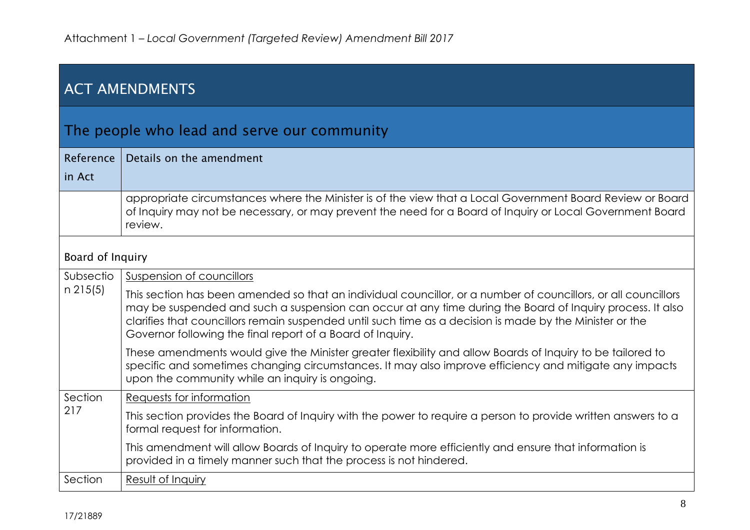| <b>ACT AMENDMENTS</b> |                                                                                                                                                                                                                                                                                                                                                                                                       |  |  |
|-----------------------|-------------------------------------------------------------------------------------------------------------------------------------------------------------------------------------------------------------------------------------------------------------------------------------------------------------------------------------------------------------------------------------------------------|--|--|
|                       | The people who lead and serve our community                                                                                                                                                                                                                                                                                                                                                           |  |  |
| Reference             | Details on the amendment                                                                                                                                                                                                                                                                                                                                                                              |  |  |
| in Act                |                                                                                                                                                                                                                                                                                                                                                                                                       |  |  |
|                       | appropriate circumstances where the Minister is of the view that a Local Government Board Review or Board<br>of Inquiry may not be necessary, or may prevent the need for a Board of Inquiry or Local Government Board<br>review.                                                                                                                                                                     |  |  |
|                       | Board of Inquiry                                                                                                                                                                                                                                                                                                                                                                                      |  |  |
| Subsectio             | Suspension of councillors                                                                                                                                                                                                                                                                                                                                                                             |  |  |
| $n$ 215(5)            | This section has been amended so that an individual councillor, or a number of councillors, or all councillors<br>may be suspended and such a suspension can occur at any time during the Board of Inquiry process. It also<br>clarifies that councillors remain suspended until such time as a decision is made by the Minister or the<br>Governor following the final report of a Board of Inquiry. |  |  |
|                       | These amendments would give the Minister greater flexibility and allow Boards of Inquiry to be tailored to<br>specific and sometimes changing circumstances. It may also improve efficiency and mitigate any impacts<br>upon the community while an inquiry is ongoing.                                                                                                                               |  |  |
| Section               | Requests for information                                                                                                                                                                                                                                                                                                                                                                              |  |  |
| 217                   | This section provides the Board of Inquiry with the power to require a person to provide written answers to a<br>formal request for information.                                                                                                                                                                                                                                                      |  |  |
|                       | This amendment will allow Boards of Inquiry to operate more efficiently and ensure that information is<br>provided in a timely manner such that the process is not hindered.                                                                                                                                                                                                                          |  |  |
| Section               | Result of Inquiry                                                                                                                                                                                                                                                                                                                                                                                     |  |  |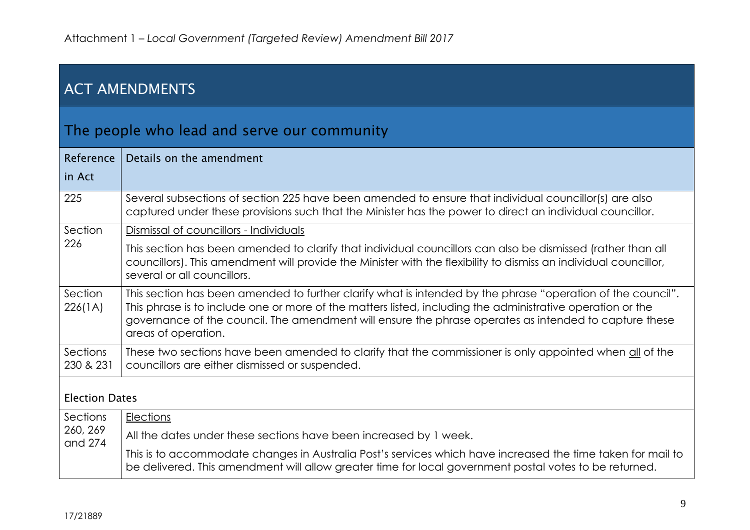| <b>ACT AMENDMENTS</b> |                                                                                                                                                                                                                                                                                                                                                           |  |
|-----------------------|-----------------------------------------------------------------------------------------------------------------------------------------------------------------------------------------------------------------------------------------------------------------------------------------------------------------------------------------------------------|--|
|                       | The people who lead and serve our community                                                                                                                                                                                                                                                                                                               |  |
| Reference<br>in Act   | Details on the amendment                                                                                                                                                                                                                                                                                                                                  |  |
| 225                   | Several subsections of section 225 have been amended to ensure that individual councillor(s) are also<br>captured under these provisions such that the Minister has the power to direct an individual councillor.                                                                                                                                         |  |
| Section               | Dismissal of councillors - Individuals                                                                                                                                                                                                                                                                                                                    |  |
| 226                   | This section has been amended to clarify that individual councillors can also be dismissed (rather than all<br>councillors). This amendment will provide the Minister with the flexibility to dismiss an individual councillor,<br>several or all councillors.                                                                                            |  |
| Section<br>226(1A)    | This section has been amended to further clarify what is intended by the phrase "operation of the council".<br>This phrase is to include one or more of the matters listed, including the administrative operation or the<br>governance of the council. The amendment will ensure the phrase operates as intended to capture these<br>areas of operation. |  |
| Sections<br>230 & 231 | These two sections have been amended to clarify that the commissioner is only appointed when all of the<br>councillors are either dismissed or suspended.                                                                                                                                                                                                 |  |
| <b>Election Dates</b> |                                                                                                                                                                                                                                                                                                                                                           |  |
| Sections              | Elections                                                                                                                                                                                                                                                                                                                                                 |  |
| 260, 269<br>and 274   | All the dates under these sections have been increased by 1 week.                                                                                                                                                                                                                                                                                         |  |
|                       | This is to accommodate changes in Australia Post's services which have increased the time taken for mail to<br>be delivered. This amendment will allow greater time for local government postal votes to be returned.                                                                                                                                     |  |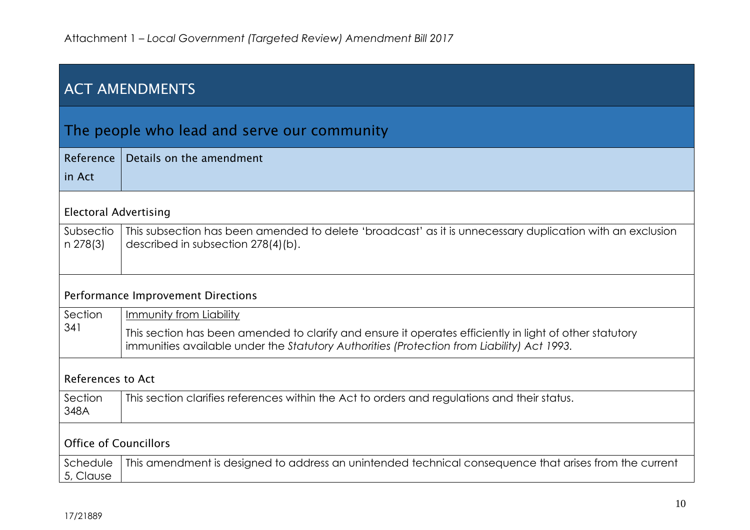| <b>ACT AMENDMENTS</b>              |                                                                                                                                                                                                       |  |
|------------------------------------|-------------------------------------------------------------------------------------------------------------------------------------------------------------------------------------------------------|--|
|                                    | The people who lead and serve our community                                                                                                                                                           |  |
| Reference<br>in Act                | Details on the amendment                                                                                                                                                                              |  |
|                                    |                                                                                                                                                                                                       |  |
| <b>Electoral Advertising</b>       |                                                                                                                                                                                                       |  |
| Subsectio<br>n 278(3)              | This subsection has been amended to delete 'broadcast' as it is unnecessary duplication with an exclusion<br>described in subsection 278(4)(b).                                                       |  |
| Performance Improvement Directions |                                                                                                                                                                                                       |  |
| Section                            | Immunity from Liability                                                                                                                                                                               |  |
| 341                                | This section has been amended to clarify and ensure it operates efficiently in light of other statutory<br>immunities available under the Statutory Authorities (Protection from Liability) Act 1993. |  |
| References to Act                  |                                                                                                                                                                                                       |  |
| Section<br>348A                    | This section clarifies references within the Act to orders and regulations and their status.                                                                                                          |  |
| <b>Office of Councillors</b>       |                                                                                                                                                                                                       |  |
| Schedule<br>5, Clause              | This amendment is designed to address an unintended technical consequence that arises from the current                                                                                                |  |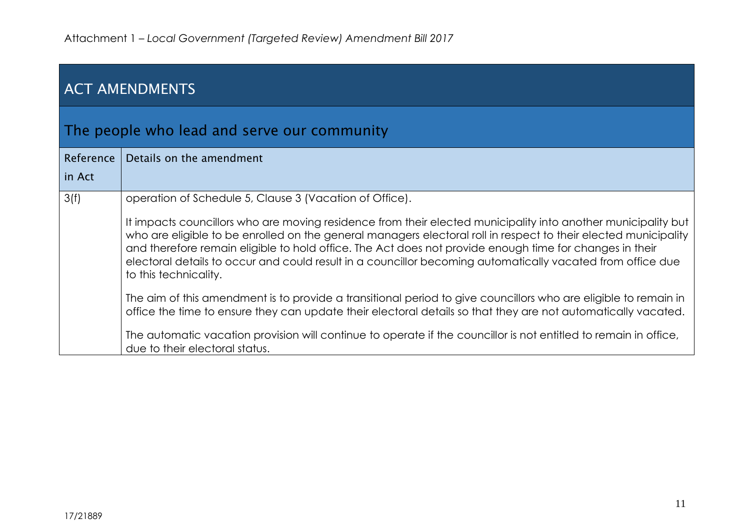| <b>ACT AMENDMENTS</b>                       |                                                                                                                                                                                                                                                                                                                                                                                                                                                                                    |
|---------------------------------------------|------------------------------------------------------------------------------------------------------------------------------------------------------------------------------------------------------------------------------------------------------------------------------------------------------------------------------------------------------------------------------------------------------------------------------------------------------------------------------------|
| The people who lead and serve our community |                                                                                                                                                                                                                                                                                                                                                                                                                                                                                    |
| Reference                                   | Details on the amendment                                                                                                                                                                                                                                                                                                                                                                                                                                                           |
| in Act                                      |                                                                                                                                                                                                                                                                                                                                                                                                                                                                                    |
| 3(f)                                        | operation of Schedule 5, Clause 3 (Vacation of Office).                                                                                                                                                                                                                                                                                                                                                                                                                            |
|                                             | It impacts councillors who are moving residence from their elected municipality into another municipality but<br>who are eligible to be enrolled on the general managers electoral roll in respect to their elected municipality<br>and therefore remain eligible to hold office. The Act does not provide enough time for changes in their<br>electoral details to occur and could result in a councillor becoming automatically vacated from office due<br>to this technicality. |
|                                             | The aim of this amendment is to provide a transitional period to give councillors who are eligible to remain in<br>office the time to ensure they can update their electoral details so that they are not automatically vacated.                                                                                                                                                                                                                                                   |
|                                             | The automatic vacation provision will continue to operate if the councillor is not entitled to remain in office,<br>due to their electoral status.                                                                                                                                                                                                                                                                                                                                 |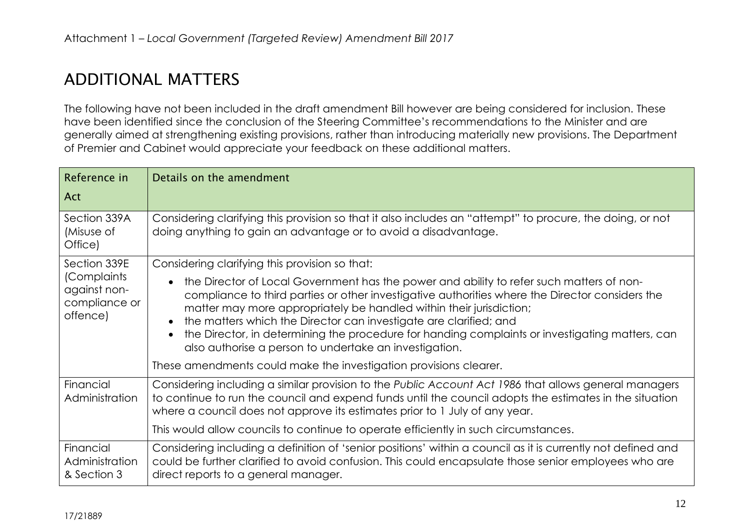## ADDITIONAL MATTERS

The following have not been included in the draft amendment Bill however are being considered for inclusion. These have been identified since the conclusion of the Steering Committee's recommendations to the Minister and are generally aimed at strengthening existing provisions, rather than introducing materially new provisions. The Department of Premier and Cabinet would appreciate your feedback on these additional matters.

| Reference in                                             | Details on the amendment                                                                                                                                                                                                                                                                                                                                                                                                                                                                             |
|----------------------------------------------------------|------------------------------------------------------------------------------------------------------------------------------------------------------------------------------------------------------------------------------------------------------------------------------------------------------------------------------------------------------------------------------------------------------------------------------------------------------------------------------------------------------|
| Act                                                      |                                                                                                                                                                                                                                                                                                                                                                                                                                                                                                      |
| Section 339A<br>(Misuse of<br>Office)                    | Considering clarifying this provision so that it also includes an "attempt" to procure, the doing, or not<br>doing anything to gain an advantage or to avoid a disadvantage.                                                                                                                                                                                                                                                                                                                         |
| Section 339E                                             | Considering clarifying this provision so that:                                                                                                                                                                                                                                                                                                                                                                                                                                                       |
| (Complaints<br>against non-<br>compliance or<br>offence) | the Director of Local Government has the power and ability to refer such matters of non-<br>compliance to third parties or other investigative authorities where the Director considers the<br>matter may more appropriately be handled within their jurisdiction;<br>the matters which the Director can investigate are clarified; and<br>the Director, in determining the procedure for handing complaints or investigating matters, can<br>also authorise a person to undertake an investigation. |
|                                                          | These amendments could make the investigation provisions clearer.                                                                                                                                                                                                                                                                                                                                                                                                                                    |
| Financial<br>Administration                              | Considering including a similar provision to the Public Account Act 1986 that allows general managers<br>to continue to run the council and expend funds until the council adopts the estimates in the situation<br>where a council does not approve its estimates prior to 1 July of any year.                                                                                                                                                                                                      |
|                                                          | This would allow councils to continue to operate efficiently in such circumstances.                                                                                                                                                                                                                                                                                                                                                                                                                  |
| Financial<br>Administration<br>& Section 3               | Considering including a definition of 'senior positions' within a council as it is currently not defined and<br>could be further clarified to avoid confusion. This could encapsulate those senior employees who are<br>direct reports to a general manager.                                                                                                                                                                                                                                         |